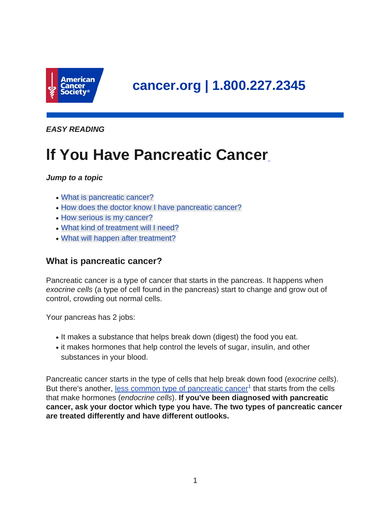

**EASY READING**

# **lf You Have Pancreatic Cancer**

# **Jump to a topic**

- [What is pancreatic cancer?](#page-0-0)
- [How does the doctor know I have pancreatic cancer?](#page-1-0)
- [How serious is my cancer?](#page-3-0)
- [What kind of treatment will I need?](#page-3-1)
- <span id="page-0-0"></span>• [What will happen after treatment?](#page-8-0)

# **What is pancreatic cancer?**

Pancreatic cancer is a type of cancer that starts in the pancreas. It happens when exocrine cells (a type of cell found in the pancreas) start to change and grow out of control, crowding out normal cells.

Your pancreas has 2 jobs:

- It makes a substance that helps break down (digest) the food you eat.
- it makes hormones that help control the levels of sugar, insulin, and other substances in your blood.

Pancreatic cancer starts in the type of cells that help break down food (exocrine cells). But there's another, [less common type of pancreatic cancer](https://www.cancer.org/cancer/pancreatic-neuroendocrine-tumor.html)<sup>1</sup> that starts from the cells that make hormones (endocrine cells). **If you've been diagnosed with pancreatic cancer, ask your doctor which type you have. The two types of pancreatic cancer are treated differently and have different outlooks.**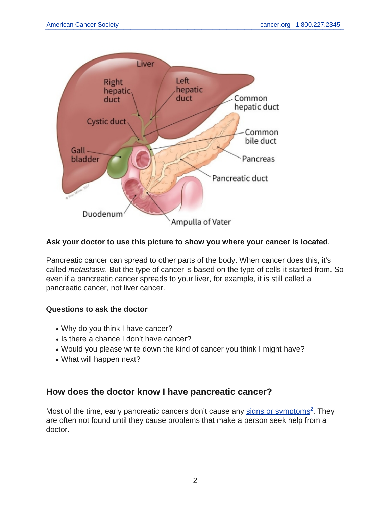

## **Ask your doctor to use this picture to show you where your cancer is located**.

Pancreatic cancer can spread to other parts of the body. When cancer does this, it's called metastasis. But the type of cancer is based on the type of cells it started from. So even if a pancreatic cancer spreads to your liver, for example, it is still called a pancreatic cancer, not liver cancer.

# **Questions to ask the doctor**

- Why do you think I have cancer?
- Is there a chance I don't have cancer?
- Would you please write down the kind of cancer you think I might have?
- <span id="page-1-0"></span>• What will happen next?

# **How does the doctor know I have pancreatic cancer?**

Most of the time, early pancreatic cancers don't cause any [signs or symptoms](https://www.cancer.org/cancer/pancreatic-cancer/detection-diagnosis-staging/signs-and-symptoms.html)<sup>2</sup>. They are often not found until they cause problems that make a person seek help from a doctor.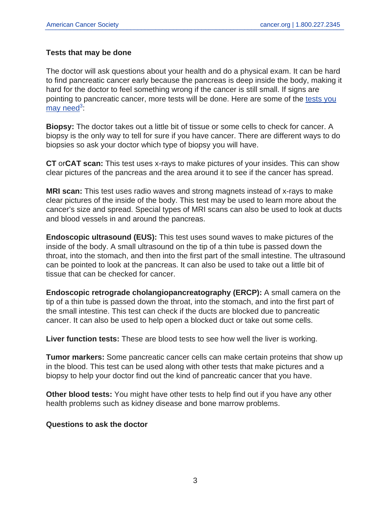## **Tests that may be done**

The doctor will ask questions about your health and do a physical exam. It can be hard to find pancreatic cancer early because the pancreas is deep inside the body, making it hard for the doctor to feel something wrong if the cancer is still small. If signs are pointing to pancreatic cancer, more tests will be done. Here are some of the [tests you](https://www.cancer.org/cancer/pancreatic-cancer/detection-diagnosis-staging/how-diagnosed.html) [may need](https://www.cancer.org/cancer/pancreatic-cancer/detection-diagnosis-staging/how-diagnosed.html)<sup>3</sup>:

**Biopsy:** The doctor takes out a little bit of tissue or some cells to check for cancer. A biopsy is the only way to tell for sure if you have cancer. There are different ways to do biopsies so ask your doctor which type of biopsy you will have.

**CT** or**CAT scan:** This test uses x-rays to make pictures of your insides. This can show clear pictures of the pancreas and the area around it to see if the cancer has spread.

**MRI scan:** This test uses radio waves and strong magnets instead of x-rays to make clear pictures of the inside of the body. This test may be used to learn more about the cancer's size and spread. Special types of MRI scans can also be used to look at ducts and blood vessels in and around the pancreas.

**Endoscopic ultrasound (EUS):** This test uses sound waves to make pictures of the inside of the body. A small ultrasound on the tip of a thin tube is passed down the throat, into the stomach, and then into the first part of the small intestine. The ultrasound can be pointed to look at the pancreas. It can also be used to take out a little bit of tissue that can be checked for cancer.

**Endoscopic retrograde cholangiopancreatography (ERCP):** A small camera on the tip of a thin tube is passed down the throat, into the stomach, and into the first part of the small intestine. This test can check if the ducts are blocked due to pancreatic cancer. It can also be used to help open a blocked duct or take out some cells.

**Liver function tests:** These are blood tests to see how well the liver is working.

**Tumor markers:** Some pancreatic cancer cells can make certain proteins that show up in the blood. This test can be used along with other tests that make pictures and a biopsy to help your doctor find out the kind of pancreatic cancer that you have.

**Other blood tests:** You might have other tests to help find out if you have any other health problems such as kidney disease and bone marrow problems.

#### **Questions to ask the doctor**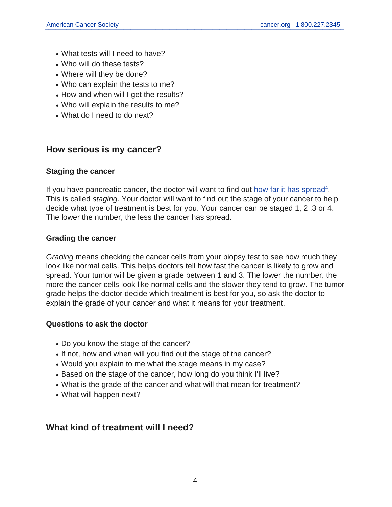- What tests will I need to have?
- Who will do these tests?
- Where will they be done?
- Who can explain the tests to me?
- How and when will I get the results?
- Who will explain the results to me?
- <span id="page-3-0"></span>• What do I need to do next?

# **How serious is my cancer?**

# **Staging the cancer**

If you have pancreatic cancer, the doctor will want to find out [how far it has spread](https://www.cancer.org/cancer/pancreatic-cancer/detection-diagnosis-staging/staging.html)<sup>4</sup>. This is called *staging*. Your doctor will want to find out the stage of your cancer to help decide what type of treatment is best for you. Your cancer can be staged 1, 2 ,3 or 4. The lower the number, the less the cancer has spread.

# **Grading the cancer**

Grading means checking the cancer cells from your biopsy test to see how much they look like normal cells. This helps doctors tell how fast the cancer is likely to grow and spread. Your tumor will be given a grade between 1 and 3. The lower the number, the more the cancer cells look like normal cells and the slower they tend to grow. The tumor grade helps the doctor decide which treatment is best for you, so ask the doctor to explain the grade of your cancer and what it means for your treatment.

# **Questions to ask the doctor**

- Do you know the stage of the cancer?
- If not, how and when will you find out the stage of the cancer?
- Would you explain to me what the stage means in my case?
- Based on the stage of the cancer, how long do you think I'll live?
- What is the grade of the cancer and what will that mean for treatment?
- <span id="page-3-1"></span>• What will happen next?

# **What kind of treatment will I need?**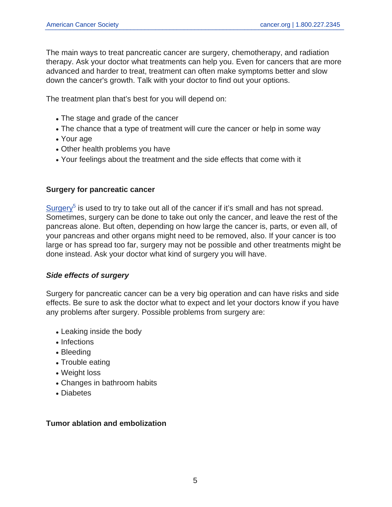The main ways to treat pancreatic cancer are surgery, chemotherapy, and radiation therapy. Ask your doctor what treatments can help you. Even for cancers that are more advanced and harder to treat, treatment can often make symptoms better and slow down the cancer's growth. Talk with your doctor to find out your options.

The treatment plan that's best for you will depend on:

- The stage and grade of the cancer
- The chance that a type of treatment will cure the cancer or help in some way
- Your age
- Other health problems you have
- Your feelings about the treatment and the side effects that come with it

#### **Surgery for pancreatic cancer**

[Surgery](https://www.cancer.org/cancer/pancreatic-cancer/treating/surgery.html)<sup>5</sup> is used to try to take out all of the cancer if it's small and has not spread. Sometimes, surgery can be done to take out only the cancer, and leave the rest of the pancreas alone. But often, depending on how large the cancer is, parts, or even all, of your pancreas and other organs might need to be removed, also. If your cancer is too large or has spread too far, surgery may not be possible and other treatments might be done instead. Ask your doctor what kind of surgery you will have.

#### **Side effects of surgery**

Surgery for pancreatic cancer can be a very big operation and can have risks and side effects. Be sure to ask the doctor what to expect and let your doctors know if you have any problems after surgery. Possible problems from surgery are:

- Leaking inside the body
- Infections
- Bleeding
- Trouble eating
- Weight loss
- Changes in bathroom habits
- Diabetes

#### **Tumor ablation and embolization**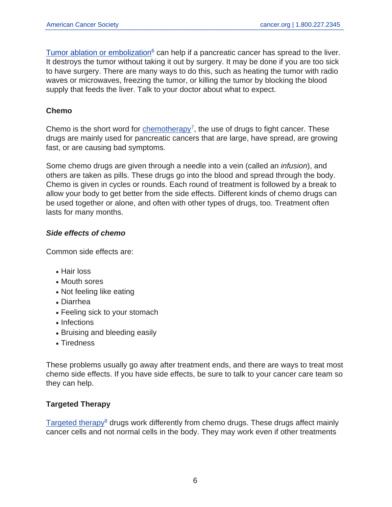[Tumor ablation or embolization](https://www.cancer.org/cancer/pancreatic-cancer/treating/ablative-techniques.html)<sup> $6$ </sup> can help if a pancreatic cancer has spread to the liver. It destroys the tumor without taking it out by surgery. It may be done if you are too sick to have surgery. There are many ways to do this, such as heating the tumor with radio waves or microwaves, freezing the tumor, or killing the tumor by blocking the blood supply that feeds the liver. Talk to your doctor about what to expect.

# **Chemo**

Chemo is the short word for  $ch$ emotherapy<sup>7</sup>, the use of drugs to fight cancer. These drugs are mainly used for pancreatic cancers that are large, have spread, are growing fast, or are causing bad symptoms.

Some chemo drugs are given through a needle into a vein (called an infusion), and others are taken as pills. These drugs go into the blood and spread through the body. Chemo is given in cycles or rounds. Each round of treatment is followed by a break to allow your body to get better from the side effects. Different kinds of chemo drugs can be used together or alone, and often with other types of drugs, too. Treatment often lasts for many months.

# **Side effects of chemo**

Common side effects are:

- Hair loss
- Mouth sores
- Not feeling like eating
- Diarrhea
- Feeling sick to your stomach
- Infections
- Bruising and bleeding easily
- Tiredness

These problems usually go away after treatment ends, and there are ways to treat most chemo side effects. If you have side effects, be sure to talk to your cancer care team so they can help.

# **Targeted Therapy**

 $Targeted$  therapy<sup>8</sup> drugs work differently from chemo drugs. These drugs affect mainly cancer cells and not normal cells in the body. They may work even if other treatments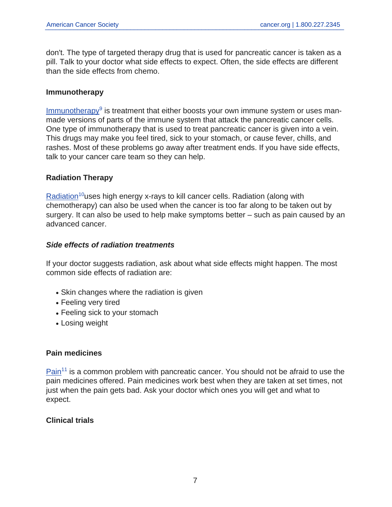don't. The type of targeted therapy drug that is used for pancreatic cancer is taken as a pill. Talk to your doctor what side effects to expect. Often, the side effects are different than the side effects from chemo.

#### **Immunotherapy**

[Immunotherapy](https://www.cancer.org/cancer/pancreatic-cancer/treating/immunotherapy.html)<sup>9</sup> is treatment that either boosts your own immune system or uses manmade versions of parts of the immune system that attack the pancreatic cancer cells. One type of immunotherapy that is used to treat pancreatic cancer is given into a vein. This drugs may make you feel tired, sick to your stomach, or cause fever, chills, and rashes. Most of these problems go away after treatment ends. If you have side effects, talk to your cancer care team so they can help.

## **Radiation Therapy**

 $Radiation<sup>10</sup>$  $Radiation<sup>10</sup>$ uses high energy x-rays to kill cancer cells. Radiation (along with chemotherapy) can also be used when the cancer is too far along to be taken out by surgery. It can also be used to help make symptoms better – such as pain caused by an advanced cancer.

#### **Side effects of radiation treatments**

If your doctor suggests radiation, ask about what side effects might happen. The most common side effects of radiation are:

- Skin changes where the radiation is given
- Feeling very tired
- Feeling sick to your stomach
- Losing weight

#### **Pain medicines**

 $Pain<sup>11</sup>$  $Pain<sup>11</sup>$  is a common problem with pancreatic cancer. You should not be afraid to use the pain medicines offered. Pain medicines work best when they are taken at set times, not just when the pain gets bad. Ask your doctor which ones you will get and what to expect.

# **Clinical trials**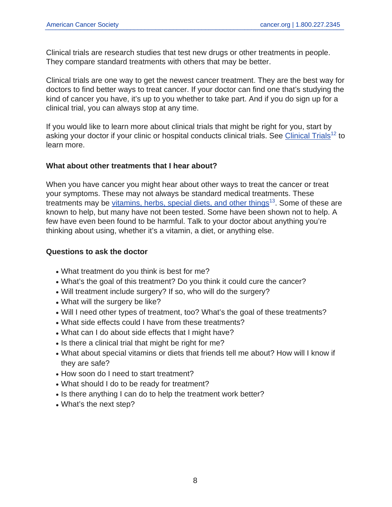Clinical trials are research studies that test new drugs or other treatments in people. They compare standard treatments with others that may be better.

Clinical trials are one way to get the newest cancer treatment. They are the best way for doctors to find better ways to treat cancer. If your doctor can find one that's studying the kind of cancer you have, it's up to you whether to take part. And if you do sign up for a clinical trial, you can always stop at any time.

If you would like to learn more about clinical trials that might be right for you, start by asking your doctor if your clinic or hospital conducts clinical trials. See [Clinical Trials](https://www.cancer.org/treatment/treatments-and-side-effects/clinical-trials.html)<sup>12</sup> to learn more.

## **What about other treatments that I hear about?**

When you have cancer you might hear about other ways to treat the cancer or treat your symptoms. These may not always be standard medical treatments. These treatments may be [vitamins, herbs, special diets, and other things](https://www.cancer.org/treatment/treatments-and-side-effects/complementary-and-alternative-medicine.html)<sup>13</sup>. Some of these are known to help, but many have not been tested. Some have been shown not to help. A few have even been found to be harmful. Talk to your doctor about anything you're thinking about using, whether it's a vitamin, a diet, or anything else.

#### **Questions to ask the doctor**

- What treatment do you think is best for me?
- What's the goal of this treatment? Do you think it could cure the cancer?
- Will treatment include surgery? If so, who will do the surgery?
- What will the surgery be like?
- Will I need other types of treatment, too? What's the goal of these treatments?
- What side effects could I have from these treatments?
- What can I do about side effects that I might have?
- Is there a clinical trial that might be right for me?
- What about special vitamins or diets that friends tell me about? How will I know if they are safe?
- How soon do I need to start treatment?
- What should I do to be ready for treatment?
- Is there anything I can do to help the treatment work better?
- What's the next step?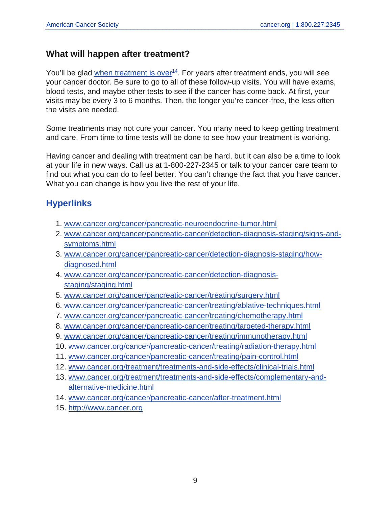# <span id="page-8-0"></span>**What will happen after treatment?**

You'll be glad [when treatment is over](https://www.cancer.org/cancer/pancreatic-cancer/after-treatment.html)<sup>14</sup>. For years after treatment ends, you will see your cancer doctor. Be sure to go to all of these follow-up visits. You will have exams, blood tests, and maybe other tests to see if the cancer has come back. At first, your visits may be every 3 to 6 months. Then, the longer you're cancer-free, the less often the visits are needed.

Some treatments may not cure your cancer. You many need to keep getting treatment and care. From time to time tests will be done to see how your treatment is working.

Having cancer and dealing with treatment can be hard, but it can also be a time to look at your life in new ways. Call us at 1-800-227-2345 or talk to your cancer care team to find out what you can do to feel better. You can't change the fact that you have cancer. What you can change is how you live the rest of your life.

# **Hyperlinks**

- 1. [www.cancer.org/cancer/pancreatic-neuroendocrine-tumor.html](https://www.cancer.org/cancer/pancreatic-neuroendocrine-tumor.html)
- 2. [www.cancer.org/cancer/pancreatic-cancer/detection-diagnosis-staging/signs-and](https://www.cancer.org/cancer/pancreatic-cancer/detection-diagnosis-staging/signs-and-symptoms.html)[symptoms.html](https://www.cancer.org/cancer/pancreatic-cancer/detection-diagnosis-staging/signs-and-symptoms.html)
- 3. [www.cancer.org/cancer/pancreatic-cancer/detection-diagnosis-staging/how](https://www.cancer.org/cancer/pancreatic-cancer/detection-diagnosis-staging/how-diagnosed.html)[diagnosed.html](https://www.cancer.org/cancer/pancreatic-cancer/detection-diagnosis-staging/how-diagnosed.html)
- 4. [www.cancer.org/cancer/pancreatic-cancer/detection-diagnosis](https://www.cancer.org/cancer/pancreatic-cancer/detection-diagnosis-staging/staging.html)[staging/staging.html](https://www.cancer.org/cancer/pancreatic-cancer/detection-diagnosis-staging/staging.html)
- 5. [www.cancer.org/cancer/pancreatic-cancer/treating/surgery.html](https://www.cancer.org/cancer/pancreatic-cancer/treating/surgery.html)
- 6. [www.cancer.org/cancer/pancreatic-cancer/treating/ablative-techniques.html](https://www.cancer.org/cancer/pancreatic-cancer/treating/ablative-techniques.html)
- 7. [www.cancer.org/cancer/pancreatic-cancer/treating/chemotherapy.html](https://www.cancer.org/cancer/pancreatic-cancer/treating/chemotherapy.html)
- 8. [www.cancer.org/cancer/pancreatic-cancer/treating/targeted-therapy.html](https://www.cancer.org/cancer/pancreatic-cancer/treating/targeted-therapy.html)
- 9. [www.cancer.org/cancer/pancreatic-cancer/treating/immunotherapy.html](https://www.cancer.org/cancer/pancreatic-cancer/treating/immunotherapy.html)
- 10. [www.cancer.org/cancer/pancreatic-cancer/treating/radiation-therapy.html](https://www.cancer.org/cancer/pancreatic-cancer/treating/radiation-therapy.html)
- 11. [www.cancer.org/cancer/pancreatic-cancer/treating/pain-control.html](https://www.cancer.org/cancer/pancreatic-cancer/treating/pain-control.html)
- 12. [www.cancer.org/treatment/treatments-and-side-effects/clinical-trials.html](https://www.cancer.org/treatment/treatments-and-side-effects/clinical-trials.html)
- 13. [www.cancer.org/treatment/treatments-and-side-effects/complementary-and](https://www.cancer.org/treatment/treatments-and-side-effects/complementary-and-alternative-medicine.html)[alternative-medicine.html](https://www.cancer.org/treatment/treatments-and-side-effects/complementary-and-alternative-medicine.html)
- 14. [www.cancer.org/cancer/pancreatic-cancer/after-treatment.html](https://www.cancer.org/cancer/pancreatic-cancer/after-treatment.html)
- 15. <http://www.cancer.org>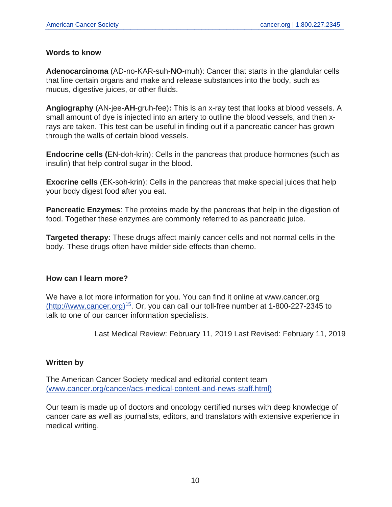#### **Words to know**

**Adenocarcinoma** (AD-no-KAR-suh-**NO**-muh): Cancer that starts in the glandular cells that line certain organs and make and release substances into the body, such as mucus, digestive juices, or other fluids.

**Angiography** (AN-jee-**AH**-gruh-fee)**:** This is an x-ray test that looks at blood vessels. A small amount of dye is injected into an artery to outline the blood vessels, and then xrays are taken. This test can be useful in finding out if a pancreatic cancer has grown through the walls of certain blood vessels.

**Endocrine cells (**EN-doh-krin): Cells in the pancreas that produce hormones (such as insulin) that help control sugar in the blood.

**Exocrine cells** (EK-soh-krin): Cells in the pancreas that make special juices that help your body digest food after you eat.

**Pancreatic Enzymes**: The proteins made by the pancreas that help in the digestion of food. Together these enzymes are commonly referred to as pancreatic juice.

**Targeted therapy**: These drugs affect mainly cancer cells and not normal cells in the body. These drugs often have milder side effects than chemo.

#### **How can I learn more?**

We have a lot more information for you. You can find it online at www.cancer.org [\(http://www.cancer.org\)](http://www.cancer.org)<sup>15</sup>. Or, you can call our toll-free number at 1-800-227-2345 to talk to one of our cancer information specialists.

Last Medical Review: February 11, 2019 Last Revised: February 11, 2019

# **Written by**

The American Cancer Society medical and editorial content team [\(www.cancer.org/cancer/acs-medical-content-and-news-staff.html\)](https://www.cancer.org/cancer/acs-medical-content-and-news-staff.html)

Our team is made up of doctors and oncology certified nurses with deep knowledge of cancer care as well as journalists, editors, and translators with extensive experience in medical writing.